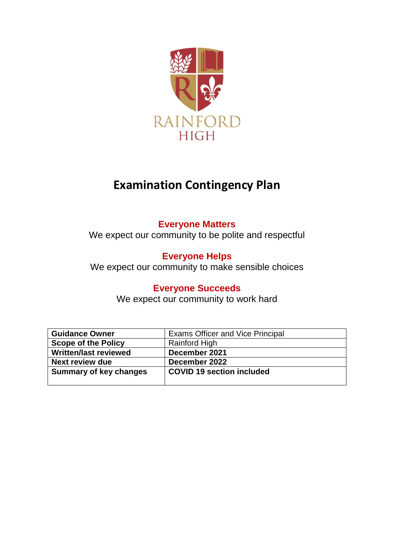

# **Examination Contingency Plan**

# **Everyone Matters**

We expect our community to be polite and respectful

# **Everyone Helps**

We expect our community to make sensible choices

# **Everyone Succeeds**

We expect our community to work hard

| <b>Guidance Owner</b>         | <b>Exams Officer and Vice Principal</b> |
|-------------------------------|-----------------------------------------|
| <b>Scope of the Policy</b>    | Rainford High                           |
| Written/last reviewed         | December 2021                           |
| <b>Next review due</b>        | December 2022                           |
| <b>Summary of key changes</b> | <b>COVID 19 section included</b>        |
|                               |                                         |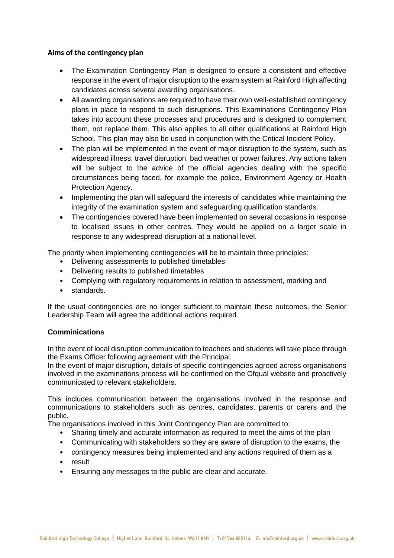# **Aims of the contingency plan**

- The Examination Contingency Plan is designed to ensure a consistent and effective response in the event of major disruption to the exam system at Rainford High affecting candidates across several awarding organisations.
- All awarding organisations are required to have their own well-established contingency plans in place to respond to such disruptions. This Examinations Contingency Plan takes into account these processes and procedures and is designed to complement them, not replace them. This also applies to all other qualifications at Rainford High School. This plan may also be used in conjunction with the Critical Incident Policy.
- The plan will be implemented in the event of major disruption to the system, such as widespread illness, travel disruption, bad weather or power failures. Any actions taken will be subject to the advice of the official agencies dealing with the specific circumstances being faced, for example the police, Environment Agency or Health Protection Agency.
- Implementing the plan will safeguard the interests of candidates while maintaining the integrity of the examination system and safeguarding qualification standards.
- The contingencies covered have been implemented on several occasions in response to localised issues in other centres. They would be applied on a larger scale in response to any widespread disruption at a national level.

The priority when implementing contingencies will be to maintain three principles:

- Delivering assessments to published timetables
- Delivering results to published timetables
- Complying with regulatory requirements in relation to assessment, marking and
- standards.

If the usual contingencies are no longer sufficient to maintain these outcomes, the Senior Leadership Team will agree the additional actions required.

#### **Comminications**

In the event of local disruption communication to teachers and students will take place through the Exams Officer following agreement with the Principal.

In the event of major disruption, details of specific contingencies agreed across organisations involved in the examinations process will be confirmed on the Ofqual website and proactively communicated to relevant stakeholders.

This includes communication between the organisations involved in the response and communications to stakeholders such as centres, candidates, parents or carers and the public.

The organisations involved in this Joint Contingency Plan are committed to:

- Sharing timely and accurate information as required to meet the aims of the plan
- Communicating with stakeholders so they are aware of disruption to the exams, the
- contingency measures being implemented and any actions required of them as a
- result
- Ensuring any messages to the public are clear and accurate.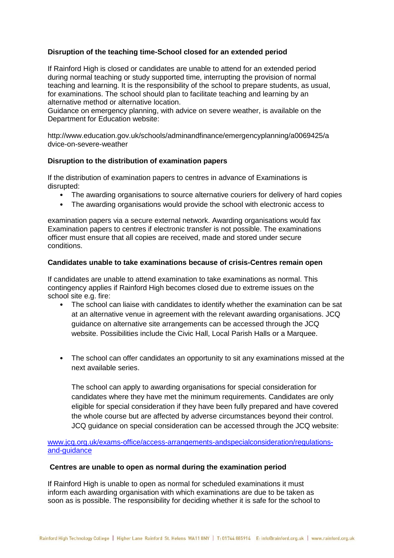## **Disruption of the teaching time-School closed for an extended period**

If Rainford High is closed or candidates are unable to attend for an extended period during normal teaching or study supported time, interrupting the provision of normal teaching and learning. It is the responsibility of the school to prepare students, as usual, for examinations. The school should plan to facilitate teaching and learning by an alternative method or alternative location.

Guidance on emergency planning, with advice on severe weather, is available on the Department for Education website:

http://www.education.gov.uk/schools/adminandfinance/emergencyplanning/a0069425/a dvice-on-severe-weather

#### **Disruption to the distribution of examination papers**

If the distribution of examination papers to centres in advance of Examinations is disrupted:

- The awarding organisations to source alternative couriers for delivery of hard copies
- The awarding organisations would provide the school with electronic access to

examination papers via a secure external network. Awarding organisations would fax Examination papers to centres if electronic transfer is not possible. The examinations officer must ensure that all copies are received, made and stored under secure conditions.

#### **Candidates unable to take examinations because of crisis-Centres remain open**

If candidates are unable to attend examination to take examinations as normal. This contingency applies if Rainford High becomes closed due to extreme issues on the school site e.g. fire:

- The school can liaise with candidates to identify whether the examination can be sat at an alternative venue in agreement with the relevant awarding organisations. JCQ guidance on alternative site arrangements can be accessed through the JCQ website. Possibilities include the Civic Hall, Local Parish Halls or a Marquee.
- The school can offer candidates an opportunity to sit any examinations missed at the next available series.

The school can apply to awarding organisations for special consideration for candidates where they have met the minimum requirements. Candidates are only eligible for special consideration if they have been fully prepared and have covered the whole course but are affected by adverse circumstances beyond their control. JCQ guidance on special consideration can be accessed through the JCQ website:

[www.jcq.org.uk/exams-office/access-arrangements-andspecialconsideration/regulations](http://www.jcq.org.uk/exams-office/access-arrangements-andspecialconsideration/regulations-and-guidance)[and-guidance](http://www.jcq.org.uk/exams-office/access-arrangements-andspecialconsideration/regulations-and-guidance)

#### **Centres are unable to open as normal during the examination period**

If Rainford High is unable to open as normal for scheduled examinations it must inform each awarding organisation with which examinations are due to be taken as soon as is possible. The responsibility for deciding whether it is safe for the school to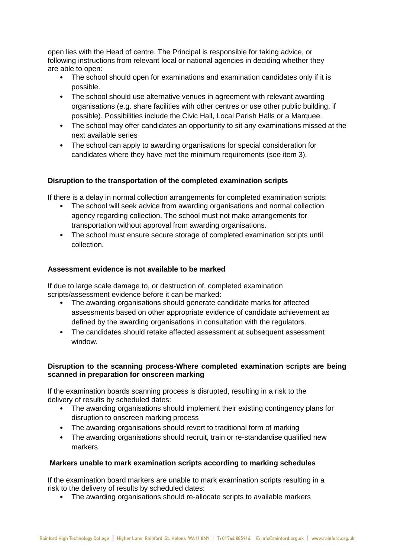open lies with the Head of centre. The Principal is responsible for taking advice, or following instructions from relevant local or national agencies in deciding whether they are able to open:

- The school should open for examinations and examination candidates only if it is possible.
- The school should use alternative venues in agreement with relevant awarding organisations (e.g. share facilities with other centres or use other public building, if possible). Possibilities include the Civic Hall, Local Parish Halls or a Marquee.
- The school may offer candidates an opportunity to sit any examinations missed at the next available series
- The school can apply to awarding organisations for special consideration for candidates where they have met the minimum requirements (see item 3).

# **Disruption to the transportation of the completed examination scripts**

If there is a delay in normal collection arrangements for completed examination scripts:

- The school will seek advice from awarding organisations and normal collection agency regarding collection. The school must not make arrangements for transportation without approval from awarding organisations.
- The school must ensure secure storage of completed examination scripts until collection.

# **Assessment evidence is not available to be marked**

If due to large scale damage to, or destruction of, completed examination scripts/assessment evidence before it can be marked:

- The awarding organisations should generate candidate marks for affected assessments based on other appropriate evidence of candidate achievement as defined by the awarding organisations in consultation with the regulators.
- The candidates should retake affected assessment at subsequent assessment window.

# **Disruption to the scanning process-Where completed examination scripts are being scanned in preparation for onscreen marking**

If the examination boards scanning process is disrupted, resulting in a risk to the delivery of results by scheduled dates:

- The awarding organisations should implement their existing contingency plans for disruption to onscreen marking process
- The awarding organisations should revert to traditional form of marking
- The awarding organisations should recruit, train or re-standardise qualified new markers.

#### **Markers unable to mark examination scripts according to marking schedules**

If the examination board markers are unable to mark examination scripts resulting in a risk to the delivery of results by scheduled dates:

• The awarding organisations should re-allocate scripts to available markers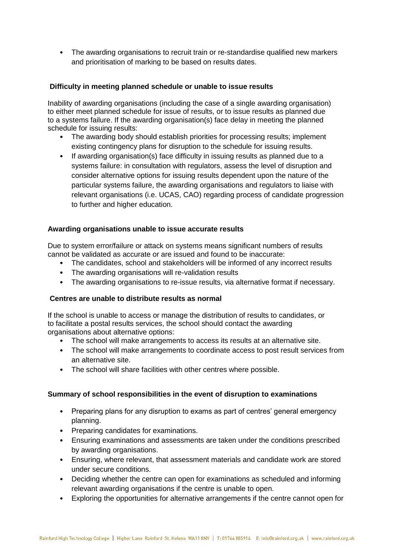• The awarding organisations to recruit train or re-standardise qualified new markers and prioritisation of marking to be based on results dates.

## **Difficulty in meeting planned schedule or unable to issue results**

Inability of awarding organisations (including the case of a single awarding organisation) to either meet planned schedule for issue of results, or to issue results as planned due to a systems failure. If the awarding organisation(s) face delay in meeting the planned schedule for issuing results:

- The awarding body should establish priorities for processing results; implement existing contingency plans for disruption to the schedule for issuing results.
- If awarding organisation(s) face difficulty in issuing results as planned due to a systems failure: in consultation with regulators, assess the level of disruption and consider alternative options for issuing results dependent upon the nature of the particular systems failure, the awarding organisations and regulators to liaise with relevant organisations (i.e. UCAS, CAO) regarding process of candidate progression to further and higher education.

### **Awarding organisations unable to issue accurate results**

Due to system error/failure or attack on systems means significant numbers of results cannot be validated as accurate or are issued and found to be inaccurate:

- The candidates, school and stakeholders will be informed of any incorrect results
- The awarding organisations will re-validation results
- The awarding organisations to re-issue results, via alternative format if necessary.

#### **Centres are unable to distribute results as normal**

If the school is unable to access or manage the distribution of results to candidates, or to facilitate a postal results services, the school should contact the awarding organisations about alternative options:

- The school will make arrangements to access its results at an alternative site.
- The school will make arrangements to coordinate access to post result services from an alternative site.
- The school will share facilities with other centres where possible.

#### **Summary of school responsibilities in the event of disruption to examinations**

- Preparing plans for any disruption to exams as part of centres' general emergency planning.
- Preparing candidates for examinations.
- Ensuring examinations and assessments are taken under the conditions prescribed by awarding organisations.
- Ensuring, where relevant, that assessment materials and candidate work are stored under secure conditions.
- Deciding whether the centre can open for examinations as scheduled and informing relevant awarding organisations if the centre is unable to open.
- Exploring the opportunities for alternative arrangements if the centre cannot open for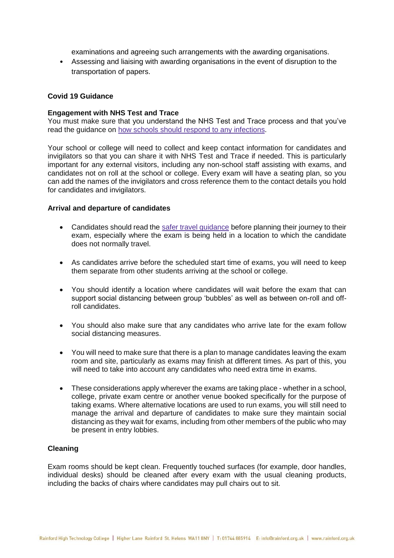examinations and agreeing such arrangements with the awarding organisations.

• Assessing and liaising with awarding organisations in the event of disruption to the transportation of papers.

#### **Covid 19 Guidance**

#### **Engagement with NHS Test and Trace**

You must make sure that you understand the NHS Test and Trace process and that you've read the guidance on how schools should respond to any [infections.](https://www.gov.uk/government/publications/actions-for-schools-during-the-coronavirus-outbreak/guidance-for-full-opening-schools#section-1-public-health-advice-to-minimise-coronavirus-covid-19-risks)

Your school or college will need to collect and keep contact information for candidates and invigilators so that you can share it with NHS Test and Trace if needed. This is particularly important for any external visitors, including any non-school staff assisting with exams, and candidates not on roll at the school or college. Every exam will have a seating plan, so you can add the names of the invigilators and cross reference them to the contact details you hold for candidates and invigilators.

#### **Arrival and departure of candidates**

- Candidates should read the safer travel [guidance](https://www.gov.uk/guidance/coronavirus-covid-19-safer-travel-guidance-for-passengers#walking-and-cycling) before planning their journey to their exam, especially where the exam is being held in a location to which the candidate does not normally travel.
- As candidates arrive before the scheduled start time of exams, you will need to keep them separate from other students arriving at the school or college.
- You should identify a location where candidates will wait before the exam that can support social distancing between group 'bubbles' as well as between on-roll and offroll candidates.
- You should also make sure that any candidates who arrive late for the exam follow social distancing measures.
- You will need to make sure that there is a plan to manage candidates leaving the exam room and site, particularly as exams may finish at different times. As part of this, you will need to take into account any candidates who need extra time in exams.
- These considerations apply wherever the exams are taking place whether in a school, college, private exam centre or another venue booked specifically for the purpose of taking exams. Where alternative locations are used to run exams, you will still need to manage the arrival and departure of candidates to make sure they maintain social distancing as they wait for exams, including from other members of the public who may be present in entry lobbies.

#### **Cleaning**

Exam rooms should be kept clean. Frequently touched surfaces (for example, door handles, individual desks) should be cleaned after every exam with the usual cleaning products, including the backs of chairs where candidates may pull chairs out to sit.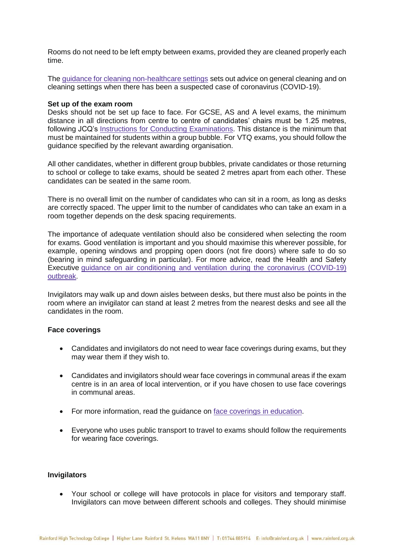Rooms do not need to be left empty between exams, provided they are cleaned properly each time.

The guidance for cleaning [non-healthcare](https://www.gov.uk/government/publications/covid-19-decontamination-in-non-healthcare-settings) settings sets out advice on general cleaning and on cleaning settings when there has been a suspected case of coronavirus (COVID-19).

#### **Set up of the exam room**

Desks should not be set up face to face. For GCSE, AS and A level exams, the minimum distance in all directions from centre to centre of candidates' chairs must be 1.25 metres, following JCQ's Instructions for Conducting [Examinations.](https://www.jcq.org.uk/exams-office/ice---instructions-for-conducting-examinations/) This distance is the minimum that must be maintained for students within a group bubble. For VTQ exams, you should follow the guidance specified by the relevant awarding organisation.

All other candidates, whether in different group bubbles, private candidates or those returning to school or college to take exams, should be seated 2 metres apart from each other. These candidates can be seated in the same room.

There is no overall limit on the number of candidates who can sit in a room, as long as desks are correctly spaced. The upper limit to the number of candidates who can take an exam in a room together depends on the desk spacing requirements.

The importance of adequate ventilation should also be considered when selecting the room for exams. Good ventilation is important and you should maximise this wherever possible, for example, opening windows and propping open doors (not fire doors) where safe to do so (bearing in mind safeguarding in particular). For more advice, read the Health and Safety Executive guidance on air [conditioning](https://www.hse.gov.uk/coronavirus/equipment-and-machinery/air-conditioning-and-ventilation.htm) and ventilation during the coronavirus (COVID-19) [outbreak.](https://www.hse.gov.uk/coronavirus/equipment-and-machinery/air-conditioning-and-ventilation.htm)

Invigilators may walk up and down aisles between desks, but there must also be points in the room where an invigilator can stand at least 2 metres from the nearest desks and see all the candidates in the room.

#### **Face coverings**

- Candidates and invigilators do not need to wear face coverings during exams, but they may wear them if they wish to.
- Candidates and invigilators should wear face coverings in communal areas if the exam centre is in an area of local intervention, or if you have chosen to use face coverings in communal areas.
- For more information, read the guidance on face coverings in [education.](https://www.gov.uk/government/publications/face-coverings-in-education/face-coverings-in-education)
- Everyone who uses public transport to travel to exams should follow the requirements for wearing face coverings.

#### **Invigilators**

• Your school or college will have protocols in place for visitors and temporary staff. Invigilators can move between different schools and colleges. They should minimise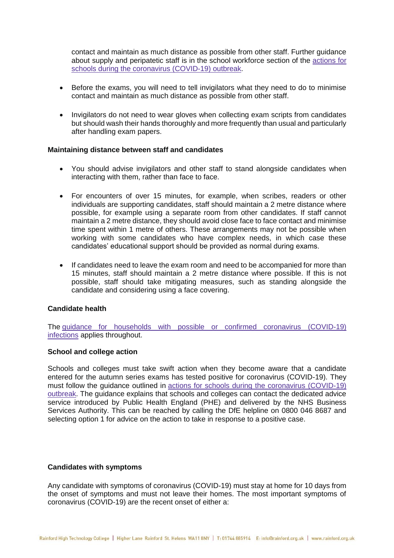contact and maintain as much distance as possible from other staff. Further guidance about supply and peripatetic staff is in the school workforce section of the [actions](https://www.gov.uk/government/publications/actions-for-schools-during-the-coronavirus-outbreak/guidance-for-full-opening-schools#school-workforce) for schools during the coronavirus [\(COVID-19\)](https://www.gov.uk/government/publications/actions-for-schools-during-the-coronavirus-outbreak/guidance-for-full-opening-schools#school-workforce) outbreak.

- Before the exams, you will need to tell invigilators what they need to do to minimise contact and maintain as much distance as possible from other staff.
- Invigilators do not need to wear gloves when collecting exam scripts from candidates but should wash their hands thoroughly and more frequently than usual and particularly after handling exam papers.

#### **Maintaining distance between staff and candidates**

- You should advise invigilators and other staff to stand alongside candidates when interacting with them, rather than face to face.
- For encounters of over 15 minutes, for example, when scribes, readers or other individuals are supporting candidates, staff should maintain a 2 metre distance where possible, for example using a separate room from other candidates. If staff cannot maintain a 2 metre distance, they should avoid close face to face contact and minimise time spent within 1 metre of others. These arrangements may not be possible when working with some candidates who have complex needs, in which case these candidates' educational support should be provided as normal during exams.
- If candidates need to leave the exam room and need to be accompanied for more than 15 minutes, staff should maintain a 2 metre distance where possible. If this is not possible, staff should take mitigating measures, such as standing alongside the candidate and considering using a face covering.

#### **Candidate health**

The guidance for households with possible or confirmed coronavirus [\(COVID-19\)](https://www.gov.uk/government/publications/covid-19-stay-at-home-guidance/stay-at-home-guidance-for-households-with-possible-coronavirus-covid-19-infection) [infections](https://www.gov.uk/government/publications/covid-19-stay-at-home-guidance/stay-at-home-guidance-for-households-with-possible-coronavirus-covid-19-infection) applies throughout.

#### **School and college action**

Schools and colleges must take swift action when they become aware that a candidate entered for the autumn series exams has tested positive for coronavirus (COVID-19). They must follow the guidance outlined in actions for schools during the coronavirus [\(COVID-19\)](https://www.gov.uk/government/publications/actions-for-schools-during-the-coronavirus-outbreak) [outbreak.](https://www.gov.uk/government/publications/actions-for-schools-during-the-coronavirus-outbreak) The guidance explains that schools and colleges can contact the dedicated advice service introduced by Public Health England (PHE) and delivered by the NHS Business Services Authority. This can be reached by calling the DfE helpline on 0800 046 8687 and selecting option 1 for advice on the action to take in response to a positive case.

#### **Candidates with symptoms**

Any candidate with symptoms of coronavirus (COVID-19) must stay at home for 10 days from the onset of symptoms and must not leave their homes. The most important symptoms of coronavirus (COVID-19) are the recent onset of either a: